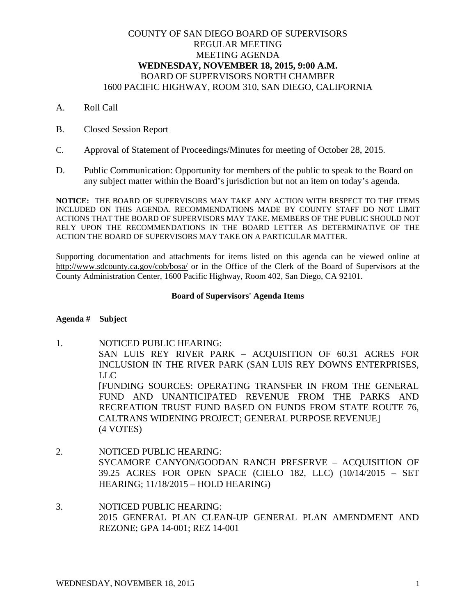# COUNTY OF SAN DIEGO BOARD OF SUPERVISORS REGULAR MEETING MEETING AGENDA **WEDNESDAY, NOVEMBER 18, 2015, 9:00 A.M.** BOARD OF SUPERVISORS NORTH CHAMBER 1600 PACIFIC HIGHWAY, ROOM 310, SAN DIEGO, CALIFORNIA

- A. Roll Call
- B. Closed Session Report
- C. Approval of Statement of Proceedings/Minutes for meeting of October 28, 2015.
- D. Public Communication: Opportunity for members of the public to speak to the Board on any subject matter within the Board's jurisdiction but not an item on today's agenda.

**NOTICE:** THE BOARD OF SUPERVISORS MAY TAKE ANY ACTION WITH RESPECT TO THE ITEMS INCLUDED ON THIS AGENDA. RECOMMENDATIONS MADE BY COUNTY STAFF DO NOT LIMIT ACTIONS THAT THE BOARD OF SUPERVISORS MAY TAKE. MEMBERS OF THE PUBLIC SHOULD NOT RELY UPON THE RECOMMENDATIONS IN THE BOARD LETTER AS DETERMINATIVE OF THE ACTION THE BOARD OF SUPERVISORS MAY TAKE ON A PARTICULAR MATTER.

Supporting documentation and attachments for items listed on this agenda can be viewed online at http://www.sdcounty.ca.gov/cob/bosa/ or in the Office of the Clerk of the Board of Supervisors at the County Administration Center, 1600 Pacific Highway, Room 402, San Diego, CA 92101.

## **Board of Supervisors' Agenda Items**

## **Agenda # Subject**

- 1. NOTICED PUBLIC HEARING: SAN LUIS REY RIVER PARK – ACQUISITION OF 60.31 ACRES FOR INCLUSION IN THE RIVER PARK (SAN LUIS REY DOWNS ENTERPRISES, LLC [FUNDING SOURCES: OPERATING TRANSFER IN FROM THE GENERAL FUND AND UNANTICIPATED REVENUE FROM THE PARKS AND RECREATION TRUST FUND BASED ON FUNDS FROM STATE ROUTE 76, CALTRANS WIDENING PROJECT; GENERAL PURPOSE REVENUE] (4 VOTES)
- 2. NOTICED PUBLIC HEARING: SYCAMORE CANYON/GOODAN RANCH PRESERVE – ACQUISITION OF 39.25 ACRES FOR OPEN SPACE (CIELO 182, LLC) (10/14/2015 – SET HEARING; 11/18/2015 – HOLD HEARING)
- 3. NOTICED PUBLIC HEARING: 2015 GENERAL PLAN CLEAN-UP GENERAL PLAN AMENDMENT AND REZONE; GPA 14-001; REZ 14-001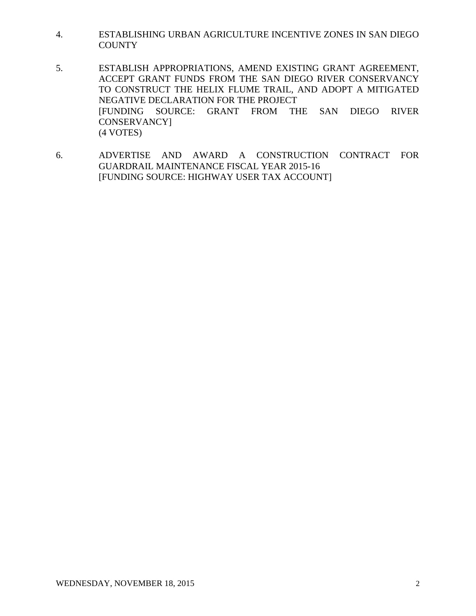- 4. ESTABLISHING URBAN AGRICULTURE INCENTIVE ZONES IN SAN DIEGO **COUNTY**
- 5. ESTABLISH APPROPRIATIONS, AMEND EXISTING GRANT AGREEMENT, ACCEPT GRANT FUNDS FROM THE SAN DIEGO RIVER CONSERVANCY TO CONSTRUCT THE HELIX FLUME TRAIL, AND ADOPT A MITIGATED NEGATIVE DECLARATION FOR THE PROJECT [FUNDING SOURCE: GRANT FROM THE SAN DIEGO RIVER CONSERVANCY] (4 VOTES)
- 6. ADVERTISE AND AWARD A CONSTRUCTION CONTRACT FOR GUARDRAIL MAINTENANCE FISCAL YEAR 2015-16 [FUNDING SOURCE: HIGHWAY USER TAX ACCOUNT]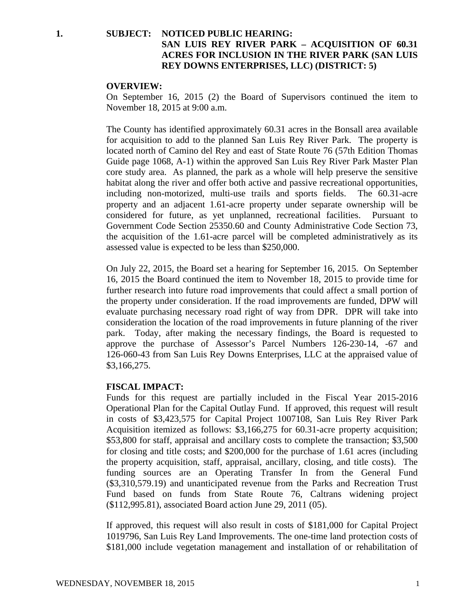# **1. SUBJECT: NOTICED PUBLIC HEARING: SAN LUIS REY RIVER PARK – ACQUISITION OF 60.31 ACRES FOR INCLUSION IN THE RIVER PARK (SAN LUIS REY DOWNS ENTERPRISES, LLC) (DISTRICT: 5)**

### **OVERVIEW:**

On September 16, 2015 (2) the Board of Supervisors continued the item to November 18, 2015 at 9:00 a.m.

The County has identified approximately 60.31 acres in the Bonsall area available for acquisition to add to the planned San Luis Rey River Park. The property is located north of Camino del Rey and east of State Route 76 (57th Edition Thomas Guide page 1068, A-1) within the approved San Luis Rey River Park Master Plan core study area. As planned, the park as a whole will help preserve the sensitive habitat along the river and offer both active and passive recreational opportunities, including non-motorized, multi-use trails and sports fields. The 60.31-acre property and an adjacent 1.61-acre property under separate ownership will be considered for future, as yet unplanned, recreational facilities. Pursuant to Government Code Section 25350.60 and County Administrative Code Section 73, the acquisition of the 1.61-acre parcel will be completed administratively as its assessed value is expected to be less than \$250,000.

On July 22, 2015, the Board set a hearing for September 16, 2015. On September 16, 2015 the Board continued the item to November 18, 2015 to provide time for further research into future road improvements that could affect a small portion of the property under consideration. If the road improvements are funded, DPW will evaluate purchasing necessary road right of way from DPR. DPR will take into consideration the location of the road improvements in future planning of the river park. Today, after making the necessary findings, the Board is requested to approve the purchase of Assessor's Parcel Numbers 126-230-14, -67 and 126-060-43 from San Luis Rey Downs Enterprises, LLC at the appraised value of \$3,166,275.

### **FISCAL IMPACT:**

Funds for this request are partially included in the Fiscal Year 2015-2016 Operational Plan for the Capital Outlay Fund. If approved, this request will result in costs of \$3,423,575 for Capital Project 1007108, San Luis Rey River Park Acquisition itemized as follows: \$3,166,275 for 60.31-acre property acquisition; \$53,800 for staff, appraisal and ancillary costs to complete the transaction; \$3,500 for closing and title costs; and \$200,000 for the purchase of 1.61 acres (including the property acquisition, staff, appraisal, ancillary, closing, and title costs). The funding sources are an Operating Transfer In from the General Fund (\$3,310,579.19) and unanticipated revenue from the Parks and Recreation Trust Fund based on funds from State Route 76, Caltrans widening project (\$112,995.81), associated Board action June 29, 2011 (05).

If approved, this request will also result in costs of \$181,000 for Capital Project 1019796, San Luis Rey Land Improvements. The one-time land protection costs of \$181,000 include vegetation management and installation of or rehabilitation of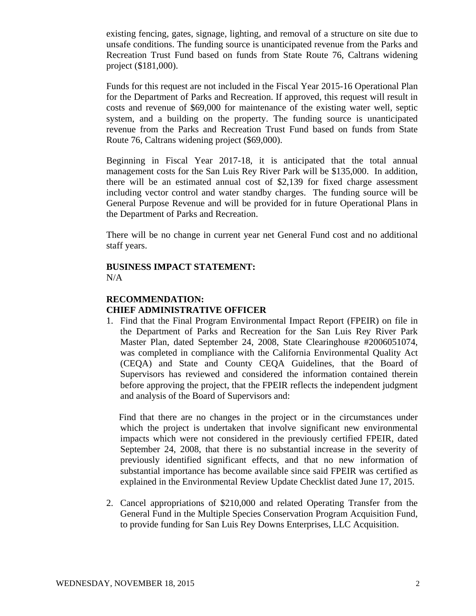existing fencing, gates, signage, lighting, and removal of a structure on site due to unsafe conditions. The funding source is unanticipated revenue from the Parks and Recreation Trust Fund based on funds from State Route 76, Caltrans widening project (\$181,000).

Funds for this request are not included in the Fiscal Year 2015-16 Operational Plan for the Department of Parks and Recreation. If approved, this request will result in costs and revenue of \$69,000 for maintenance of the existing water well, septic system, and a building on the property. The funding source is unanticipated revenue from the Parks and Recreation Trust Fund based on funds from State Route 76, Caltrans widening project (\$69,000).

Beginning in Fiscal Year 2017-18, it is anticipated that the total annual management costs for the San Luis Rey River Park will be \$135,000. In addition, there will be an estimated annual cost of \$2,139 for fixed charge assessment including vector control and water standby charges. The funding source will be General Purpose Revenue and will be provided for in future Operational Plans in the Department of Parks and Recreation.

There will be no change in current year net General Fund cost and no additional staff years.

# **BUSINESS IMPACT STATEMENT:** N/A

# **RECOMMENDATION: CHIEF ADMINISTRATIVE OFFICER**

1. Find that the Final Program Environmental Impact Report (FPEIR) on file in the Department of Parks and Recreation for the San Luis Rey River Park Master Plan, dated September 24, 2008, State Clearinghouse #2006051074, was completed in compliance with the California Environmental Quality Act (CEQA) and State and County CEQA Guidelines, that the Board of Supervisors has reviewed and considered the information contained therein before approving the project, that the FPEIR reflects the independent judgment and analysis of the Board of Supervisors and:

Find that there are no changes in the project or in the circumstances under which the project is undertaken that involve significant new environmental impacts which were not considered in the previously certified FPEIR, dated September 24, 2008, that there is no substantial increase in the severity of previously identified significant effects, and that no new information of substantial importance has become available since said FPEIR was certified as explained in the Environmental Review Update Checklist dated June 17, 2015.

2. Cancel appropriations of \$210,000 and related Operating Transfer from the General Fund in the Multiple Species Conservation Program Acquisition Fund, to provide funding for San Luis Rey Downs Enterprises, LLC Acquisition.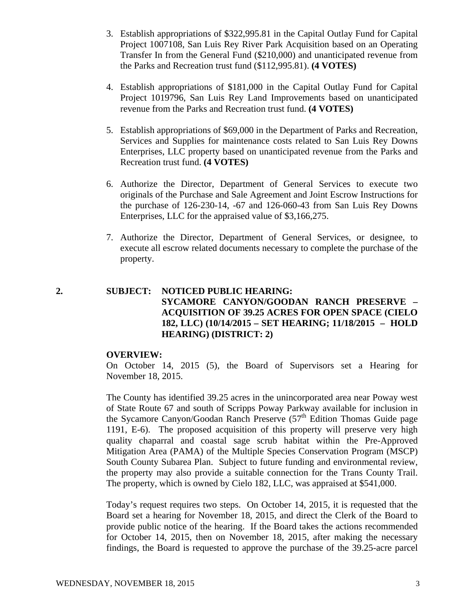- 3. Establish appropriations of \$322,995.81 in the Capital Outlay Fund for Capital Project 1007108, San Luis Rey River Park Acquisition based on an Operating Transfer In from the General Fund (\$210,000) and unanticipated revenue from the Parks and Recreation trust fund (\$112,995.81). **(4 VOTES)**
- 4. Establish appropriations of \$181,000 in the Capital Outlay Fund for Capital Project 1019796, San Luis Rey Land Improvements based on unanticipated revenue from the Parks and Recreation trust fund. **(4 VOTES)**
- 5. Establish appropriations of \$69,000 in the Department of Parks and Recreation, Services and Supplies for maintenance costs related to San Luis Rey Downs Enterprises, LLC property based on unanticipated revenue from the Parks and Recreation trust fund. **(4 VOTES)**
- 6. Authorize the Director, Department of General Services to execute two originals of the Purchase and Sale Agreement and Joint Escrow Instructions for the purchase of 126-230-14, -67 and 126-060-43 from San Luis Rey Downs Enterprises, LLC for the appraised value of \$3,166,275.
- 7. Authorize the Director, Department of General Services, or designee, to execute all escrow related documents necessary to complete the purchase of the property.

# **2. SUBJECT: NOTICED PUBLIC HEARING: SYCAMORE CANYON/GOODAN RANCH PRESERVE – ACQUISITION OF 39.25 ACRES FOR OPEN SPACE (CIELO 182, LLC) (10/14/2015 – SET HEARING; 11/18/2015 – HOLD HEARING) (DISTRICT: 2)**

## **OVERVIEW:**

On October 14, 2015 (5), the Board of Supervisors set a Hearing for November 18, 2015.

The County has identified 39.25 acres in the unincorporated area near Poway west of State Route 67 and south of Scripps Poway Parkway available for inclusion in the Sycamore Canyon/Goodan Ranch Preserve  $(57<sup>th</sup>$  Edition Thomas Guide page 1191, E-6). The proposed acquisition of this property will preserve very high quality chaparral and coastal sage scrub habitat within the Pre-Approved Mitigation Area (PAMA) of the Multiple Species Conservation Program (MSCP) South County Subarea Plan. Subject to future funding and environmental review, the property may also provide a suitable connection for the Trans County Trail. The property, which is owned by Cielo 182, LLC, was appraised at \$541,000.

Today's request requires two steps. On October 14, 2015, it is requested that the Board set a hearing for November 18, 2015, and direct the Clerk of the Board to provide public notice of the hearing. If the Board takes the actions recommended for October 14, 2015, then on November 18, 2015, after making the necessary findings, the Board is requested to approve the purchase of the 39.25-acre parcel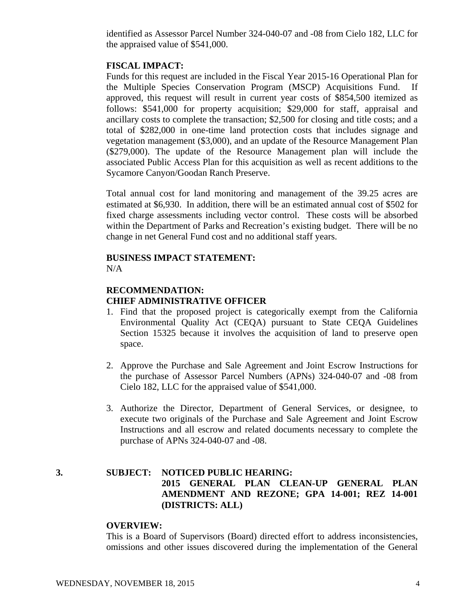identified as Assessor Parcel Number 324-040-07 and -08 from Cielo 182, LLC for the appraised value of \$541,000.

### **FISCAL IMPACT:**

Funds for this request are included in the Fiscal Year 2015-16 Operational Plan for the Multiple Species Conservation Program (MSCP) Acquisitions Fund. If approved, this request will result in current year costs of \$854,500 itemized as follows: \$541,000 for property acquisition; \$29,000 for staff, appraisal and ancillary costs to complete the transaction; \$2,500 for closing and title costs; and a total of \$282,000 in one-time land protection costs that includes signage and vegetation management (\$3,000), and an update of the Resource Management Plan (\$279,000). The update of the Resource Management plan will include the associated Public Access Plan for this acquisition as well as recent additions to the Sycamore Canyon/Goodan Ranch Preserve.

Total annual cost for land monitoring and management of the 39.25 acres are estimated at \$6,930. In addition, there will be an estimated annual cost of \$502 for fixed charge assessments including vector control. These costs will be absorbed within the Department of Parks and Recreation's existing budget. There will be no change in net General Fund cost and no additional staff years.

### **BUSINESS IMPACT STATEMENT:**  $N/A$

# **RECOMMENDATION: CHIEF ADMINISTRATIVE OFFICER**

- 1. Find that the proposed project is categorically exempt from the California Environmental Quality Act (CEQA) pursuant to State CEQA Guidelines Section 15325 because it involves the acquisition of land to preserve open space.
- 2. Approve the Purchase and Sale Agreement and Joint Escrow Instructions for the purchase of Assessor Parcel Numbers (APNs) 324-040-07 and -08 from Cielo 182, LLC for the appraised value of \$541,000.
- 3. Authorize the Director, Department of General Services, or designee, to execute two originals of the Purchase and Sale Agreement and Joint Escrow Instructions and all escrow and related documents necessary to complete the purchase of APNs 324-040-07 and -08.

# **3. SUBJECT: NOTICED PUBLIC HEARING: 2015 GENERAL PLAN CLEAN-UP GENERAL PLAN AMENDMENT AND REZONE; GPA 14-001; REZ 14-001 (DISTRICTS: ALL)**

#### **OVERVIEW:**

This is a Board of Supervisors (Board) directed effort to address inconsistencies, omissions and other issues discovered during the implementation of the General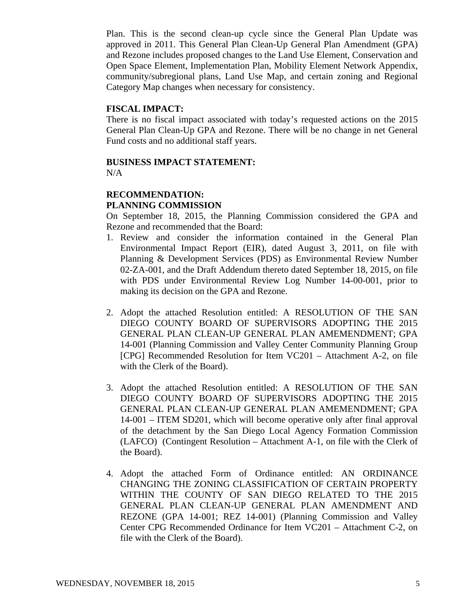Plan. This is the second clean-up cycle since the General Plan Update was approved in 2011. This General Plan Clean-Up General Plan Amendment (GPA) and Rezone includes proposed changes to the Land Use Element, Conservation and Open Space Element, Implementation Plan, Mobility Element Network Appendix, community/subregional plans, Land Use Map, and certain zoning and Regional Category Map changes when necessary for consistency.

## **FISCAL IMPACT:**

There is no fiscal impact associated with today's requested actions on the 2015 General Plan Clean-Up GPA and Rezone. There will be no change in net General Fund costs and no additional staff years.

### **BUSINESS IMPACT STATEMENT:**  $N/A$

## **RECOMMENDATION: PLANNING COMMISSION**

On September 18, 2015, the Planning Commission considered the GPA and Rezone and recommended that the Board:

- 1. Review and consider the information contained in the General Plan Environmental Impact Report (EIR), dated August 3, 2011, on file with Planning & Development Services (PDS) as Environmental Review Number 02-ZA-001, and the Draft Addendum thereto dated September 18, 2015, on file with PDS under Environmental Review Log Number 14-00-001, prior to making its decision on the GPA and Rezone.
- 2. Adopt the attached Resolution entitled: A RESOLUTION OF THE SAN DIEGO COUNTY BOARD OF SUPERVISORS ADOPTING THE 2015 GENERAL PLAN CLEAN-UP GENERAL PLAN AMEMENDMENT; GPA 14-001 (Planning Commission and Valley Center Community Planning Group [CPG] Recommended Resolution for Item VC201 – Attachment A-2, on file with the Clerk of the Board).
- 3. Adopt the attached Resolution entitled: A RESOLUTION OF THE SAN DIEGO COUNTY BOARD OF SUPERVISORS ADOPTING THE 2015 GENERAL PLAN CLEAN-UP GENERAL PLAN AMEMENDMENT; GPA 14-001 – ITEM SD201, which will become operative only after final approval of the detachment by the San Diego Local Agency Formation Commission (LAFCO) (Contingent Resolution – Attachment A-1, on file with the Clerk of the Board).
- 4. Adopt the attached Form of Ordinance entitled: AN ORDINANCE CHANGING THE ZONING CLASSIFICATION OF CERTAIN PROPERTY WITHIN THE COUNTY OF SAN DIEGO RELATED TO THE 2015 GENERAL PLAN CLEAN-UP GENERAL PLAN AMENDMENT AND REZONE (GPA 14-001; REZ 14-001) (Planning Commission and Valley Center CPG Recommended Ordinance for Item VC201 – Attachment C-2, on file with the Clerk of the Board).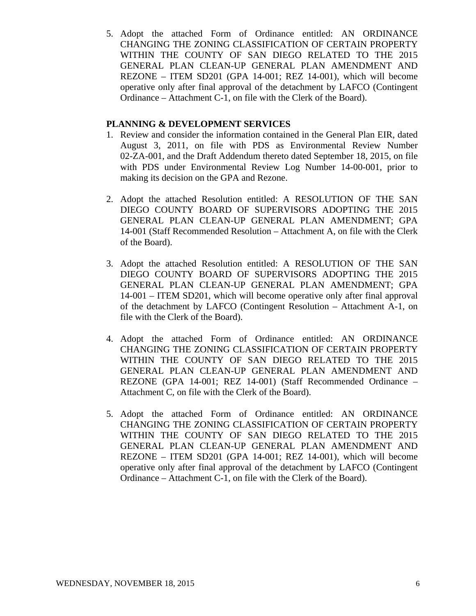5. Adopt the attached Form of Ordinance entitled: AN ORDINANCE CHANGING THE ZONING CLASSIFICATION OF CERTAIN PROPERTY WITHIN THE COUNTY OF SAN DIEGO RELATED TO THE 2015 GENERAL PLAN CLEAN-UP GENERAL PLAN AMENDMENT AND REZONE – ITEM SD201 (GPA 14-001; REZ 14-001), which will become operative only after final approval of the detachment by LAFCO (Contingent Ordinance – Attachment C-1, on file with the Clerk of the Board).

## **PLANNING & DEVELOPMENT SERVICES**

- 1. Review and consider the information contained in the General Plan EIR, dated August 3, 2011, on file with PDS as Environmental Review Number 02-ZA-001, and the Draft Addendum thereto dated September 18, 2015, on file with PDS under Environmental Review Log Number 14-00-001, prior to making its decision on the GPA and Rezone.
- 2. Adopt the attached Resolution entitled: A RESOLUTION OF THE SAN DIEGO COUNTY BOARD OF SUPERVISORS ADOPTING THE 2015 GENERAL PLAN CLEAN-UP GENERAL PLAN AMENDMENT; GPA 14-001 (Staff Recommended Resolution – Attachment A, on file with the Clerk of the Board).
- 3. Adopt the attached Resolution entitled: A RESOLUTION OF THE SAN DIEGO COUNTY BOARD OF SUPERVISORS ADOPTING THE 2015 GENERAL PLAN CLEAN-UP GENERAL PLAN AMENDMENT; GPA 14-001 – ITEM SD201, which will become operative only after final approval of the detachment by LAFCO (Contingent Resolution – Attachment A-1, on file with the Clerk of the Board).
- 4. Adopt the attached Form of Ordinance entitled: AN ORDINANCE CHANGING THE ZONING CLASSIFICATION OF CERTAIN PROPERTY WITHIN THE COUNTY OF SAN DIEGO RELATED TO THE 2015 GENERAL PLAN CLEAN-UP GENERAL PLAN AMENDMENT AND REZONE (GPA 14-001; REZ 14-001) (Staff Recommended Ordinance – Attachment C, on file with the Clerk of the Board).
- 5. Adopt the attached Form of Ordinance entitled: AN ORDINANCE CHANGING THE ZONING CLASSIFICATION OF CERTAIN PROPERTY WITHIN THE COUNTY OF SAN DIEGO RELATED TO THE 2015 GENERAL PLAN CLEAN-UP GENERAL PLAN AMENDMENT AND REZONE – ITEM SD201 (GPA 14-001; REZ 14-001), which will become operative only after final approval of the detachment by LAFCO (Contingent Ordinance – Attachment C-1, on file with the Clerk of the Board).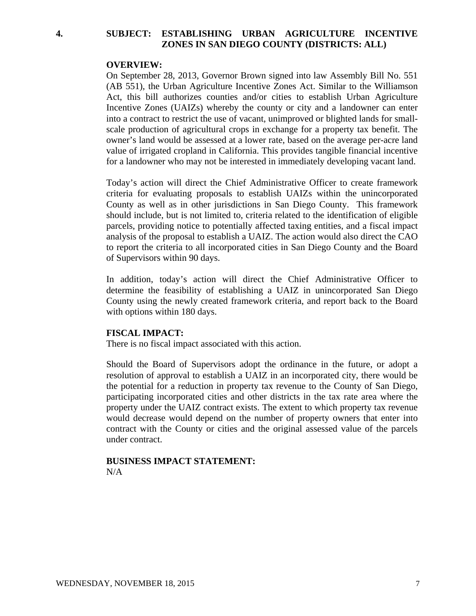## **4. SUBJECT: ESTABLISHING URBAN AGRICULTURE INCENTIVE ZONES IN SAN DIEGO COUNTY (DISTRICTS: ALL)**

### **OVERVIEW:**

On September 28, 2013, Governor Brown signed into law Assembly Bill No. 551 (AB 551), the Urban Agriculture Incentive Zones Act. Similar to the Williamson Act, this bill authorizes counties and/or cities to establish Urban Agriculture Incentive Zones (UAIZs) whereby the county or city and a landowner can enter into a contract to restrict the use of vacant, unimproved or blighted lands for smallscale production of agricultural crops in exchange for a property tax benefit. The owner's land would be assessed at a lower rate, based on the average per-acre land value of irrigated cropland in California. This provides tangible financial incentive for a landowner who may not be interested in immediately developing vacant land.

Today's action will direct the Chief Administrative Officer to create framework criteria for evaluating proposals to establish UAIZs within the unincorporated County as well as in other jurisdictions in San Diego County. This framework should include, but is not limited to, criteria related to the identification of eligible parcels, providing notice to potentially affected taxing entities, and a fiscal impact analysis of the proposal to establish a UAIZ. The action would also direct the CAO to report the criteria to all incorporated cities in San Diego County and the Board of Supervisors within 90 days.

In addition, today's action will direct the Chief Administrative Officer to determine the feasibility of establishing a UAIZ in unincorporated San Diego County using the newly created framework criteria, and report back to the Board with options within 180 days.

### **FISCAL IMPACT:**

There is no fiscal impact associated with this action.

Should the Board of Supervisors adopt the ordinance in the future, or adopt a resolution of approval to establish a UAIZ in an incorporated city, there would be the potential for a reduction in property tax revenue to the County of San Diego, participating incorporated cities and other districts in the tax rate area where the property under the UAIZ contract exists. The extent to which property tax revenue would decrease would depend on the number of property owners that enter into contract with the County or cities and the original assessed value of the parcels under contract.

## **BUSINESS IMPACT STATEMENT:** N/A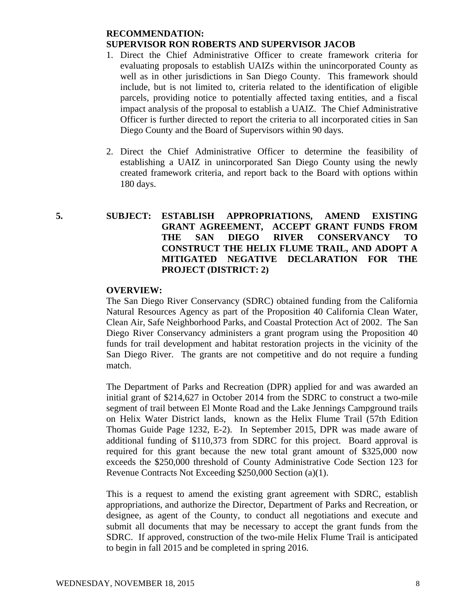# **RECOMMENDATION: SUPERVISOR RON ROBERTS AND SUPERVISOR JACOB**

- 1. Direct the Chief Administrative Officer to create framework criteria for evaluating proposals to establish UAIZs within the unincorporated County as well as in other jurisdictions in San Diego County. This framework should include, but is not limited to, criteria related to the identification of eligible parcels, providing notice to potentially affected taxing entities, and a fiscal impact analysis of the proposal to establish a UAIZ. The Chief Administrative Officer is further directed to report the criteria to all incorporated cities in San Diego County and the Board of Supervisors within 90 days.
- 2. Direct the Chief Administrative Officer to determine the feasibility of establishing a UAIZ in unincorporated San Diego County using the newly created framework criteria, and report back to the Board with options within 180 days.
- **5. SUBJECT: ESTABLISH APPROPRIATIONS, AMEND EXISTING GRANT AGREEMENT, ACCEPT GRANT FUNDS FROM THE SAN DIEGO RIVER CONSERVANCY TO CONSTRUCT THE HELIX FLUME TRAIL, AND ADOPT A MITIGATED NEGATIVE DECLARATION FOR THE PROJECT (DISTRICT: 2)**

# **OVERVIEW:**

The San Diego River Conservancy (SDRC) obtained funding from the California Natural Resources Agency as part of the Proposition 40 California Clean Water, Clean Air, Safe Neighborhood Parks, and Coastal Protection Act of 2002. The San Diego River Conservancy administers a grant program using the Proposition 40 funds for trail development and habitat restoration projects in the vicinity of the San Diego River. The grants are not competitive and do not require a funding match.

The Department of Parks and Recreation (DPR) applied for and was awarded an initial grant of \$214,627 in October 2014 from the SDRC to construct a two-mile segment of trail between El Monte Road and the Lake Jennings Campground trails on Helix Water District lands, known as the Helix Flume Trail (57th Edition Thomas Guide Page 1232, E-2). In September 2015, DPR was made aware of additional funding of \$110,373 from SDRC for this project. Board approval is required for this grant because the new total grant amount of \$325,000 now exceeds the \$250,000 threshold of County Administrative Code Section 123 for Revenue Contracts Not Exceeding \$250,000 Section (a)(1).

This is a request to amend the existing grant agreement with SDRC, establish appropriations, and authorize the Director, Department of Parks and Recreation, or designee, as agent of the County, to conduct all negotiations and execute and submit all documents that may be necessary to accept the grant funds from the SDRC. If approved, construction of the two-mile Helix Flume Trail is anticipated to begin in fall 2015 and be completed in spring 2016.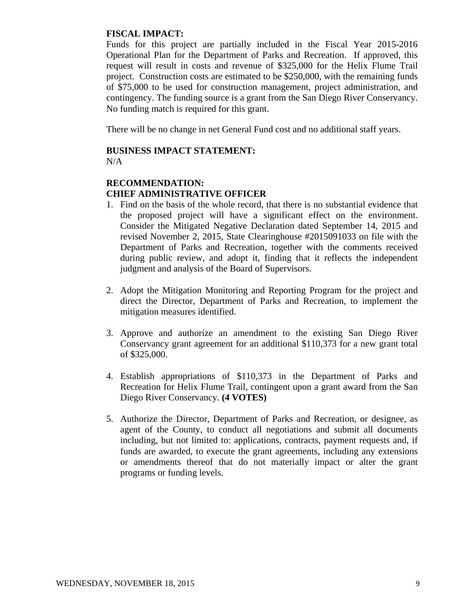# **FISCAL IMPACT:**

Funds for this project are partially included in the Fiscal Year 2015-2016 Operational Plan for the Department of Parks and Recreation. If approved, this request will result in costs and revenue of \$325,000 for the Helix Flume Trail project. Construction costs are estimated to be \$250,000, with the remaining funds of \$75,000 to be used for construction management, project administration, and contingency. The funding source is a grant from the San Diego River Conservancy. No funding match is required for this grant.

There will be no change in net General Fund cost and no additional staff years.

# **BUSINESS IMPACT STATEMENT:**

N/A

# **RECOMMENDATION: CHIEF ADMINISTRATIVE OFFICER**

- 1. Find on the basis of the whole record, that there is no substantial evidence that the proposed project will have a significant effect on the environment. Consider the Mitigated Negative Declaration dated September 14, 2015 and revised November 2, 2015, State Clearinghouse #2015091033 on file with the Department of Parks and Recreation, together with the comments received during public review, and adopt it, finding that it reflects the independent judgment and analysis of the Board of Supervisors.
- 2. Adopt the Mitigation Monitoring and Reporting Program for the project and direct the Director, Department of Parks and Recreation, to implement the mitigation measures identified.
- 3. Approve and authorize an amendment to the existing San Diego River Conservancy grant agreement for an additional \$110,373 for a new grant total of \$325,000.
- 4. Establish appropriations of \$110,373 in the Department of Parks and Recreation for Helix Flume Trail, contingent upon a grant award from the San Diego River Conservancy. **(4 VOTES)**
- 5. Authorize the Director, Department of Parks and Recreation, or designee, as agent of the County, to conduct all negotiations and submit all documents including, but not limited to: applications, contracts, payment requests and, if funds are awarded, to execute the grant agreements, including any extensions or amendments thereof that do not materially impact or alter the grant programs or funding levels.